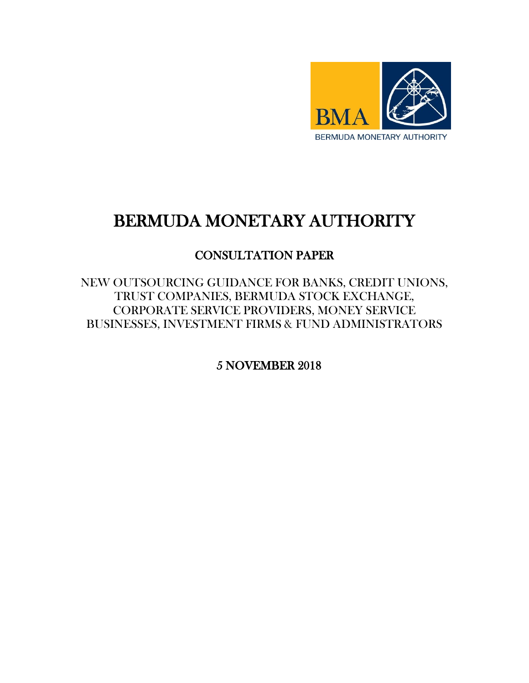

# BERMUDA MONETARY AUTHORITY

## CONSULTATION PAPER

NEW OUTSOURCING GUIDANCE FOR BANKS, CREDIT UNIONS, TRUST COMPANIES, BERMUDA STOCK EXCHANGE, CORPORATE SERVICE PROVIDERS, MONEY SERVICE BUSINESSES, INVESTMENT FIRMS & FUND ADMINISTRATORS

5 NOVEMBER 2018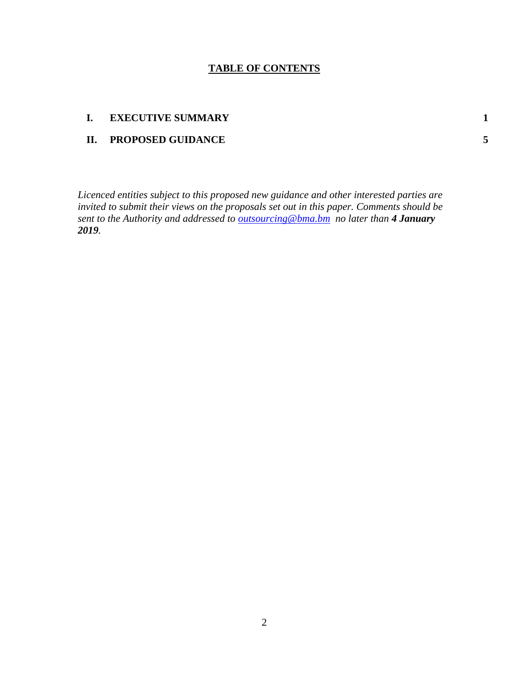#### **TABLE OF CONTENTS**

#### **I. EXECUTIVE SUMMARY 1**

### **II. PROPOSED GUIDANCE 5**

*Licenced entities subject to this proposed new guidance and other interested parties are invited to submit their views on the proposals set out in this paper. Comments should be sent to the Authority and addressed to [outsourcing@bma.bm](mailto:outsourcing@bma.bm) no later than 4 January 2019.*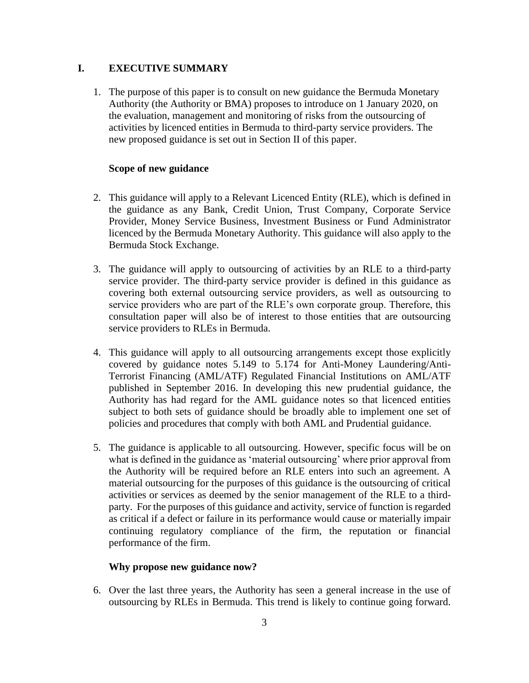#### **I. EXECUTIVE SUMMARY**

1. The purpose of this paper is to consult on new guidance the Bermuda Monetary Authority (the Authority or BMA) proposes to introduce on 1 January 2020, on the evaluation, management and monitoring of risks from the outsourcing of activities by licenced entities in Bermuda to third-party service providers. The new proposed guidance is set out in Section II of this paper.

#### **Scope of new guidance**

- 2. This guidance will apply to a Relevant Licenced Entity (RLE), which is defined in the guidance as any Bank, Credit Union, Trust Company, Corporate Service Provider, Money Service Business, Investment Business or Fund Administrator licenced by the Bermuda Monetary Authority. This guidance will also apply to the Bermuda Stock Exchange.
- 3. The guidance will apply to outsourcing of activities by an RLE to a third-party service provider. The third-party service provider is defined in this guidance as covering both external outsourcing service providers, as well as outsourcing to service providers who are part of the RLE's own corporate group. Therefore, this consultation paper will also be of interest to those entities that are outsourcing service providers to RLEs in Bermuda.
- 4. This guidance will apply to all outsourcing arrangements except those explicitly covered by guidance notes 5.149 to 5.174 for Anti-Money Laundering/Anti-Terrorist Financing (AML/ATF) Regulated Financial Institutions on AML/ATF published in September 2016. In developing this new prudential guidance, the Authority has had regard for the AML guidance notes so that licenced entities subject to both sets of guidance should be broadly able to implement one set of policies and procedures that comply with both AML and Prudential guidance.
- 5. The guidance is applicable to all outsourcing. However, specific focus will be on what is defined in the guidance as 'material outsourcing' where prior approval from the Authority will be required before an RLE enters into such an agreement. A material outsourcing for the purposes of this guidance is the outsourcing of critical activities or services as deemed by the senior management of the RLE to a thirdparty. For the purposes of this guidance and activity, service of function is regarded as critical if a defect or failure in its performance would cause or materially impair continuing regulatory compliance of the firm, the reputation or financial performance of the firm.

#### **Why propose new guidance now?**

6. Over the last three years, the Authority has seen a general increase in the use of outsourcing by RLEs in Bermuda. This trend is likely to continue going forward.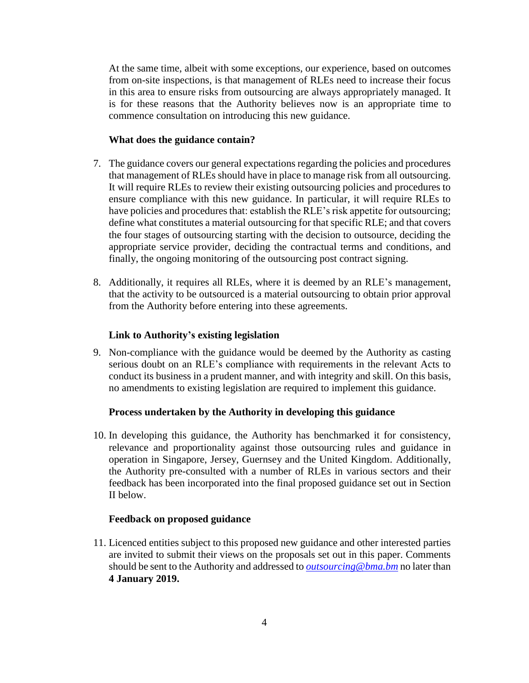At the same time, albeit with some exceptions, our experience, based on outcomes from on-site inspections, is that management of RLEs need to increase their focus in this area to ensure risks from outsourcing are always appropriately managed. It is for these reasons that the Authority believes now is an appropriate time to commence consultation on introducing this new guidance.

#### **What does the guidance contain?**

- 7. The guidance covers our general expectations regarding the policies and procedures that management of RLEs should have in place to manage risk from all outsourcing. It will require RLEs to review their existing outsourcing policies and procedures to ensure compliance with this new guidance. In particular, it will require RLEs to have policies and procedures that: establish the RLE's risk appetite for outsourcing; define what constitutes a material outsourcing for that specific RLE; and that covers the four stages of outsourcing starting with the decision to outsource, deciding the appropriate service provider, deciding the contractual terms and conditions, and finally, the ongoing monitoring of the outsourcing post contract signing.
- 8. Additionally, it requires all RLEs, where it is deemed by an RLE's management, that the activity to be outsourced is a material outsourcing to obtain prior approval from the Authority before entering into these agreements.

#### **Link to Authority's existing legislation**

9. Non-compliance with the guidance would be deemed by the Authority as casting serious doubt on an RLE's compliance with requirements in the relevant Acts to conduct its business in a prudent manner, and with integrity and skill. On this basis, no amendments to existing legislation are required to implement this guidance.

#### **Process undertaken by the Authority in developing this guidance**

10. In developing this guidance, the Authority has benchmarked it for consistency, relevance and proportionality against those outsourcing rules and guidance in operation in Singapore, Jersey, Guernsey and the United Kingdom. Additionally, the Authority pre-consulted with a number of RLEs in various sectors and their feedback has been incorporated into the final proposed guidance set out in Section II below.

#### **Feedback on proposed guidance**

11. Licenced entities subject to this proposed new guidance and other interested parties are invited to submit their views on the proposals set out in this paper. Comments should be sent to the Authority and addressed to *[outsourcing@bma.bm](mailto:outsourcing@bma.bm)* no later than **4 January 2019.**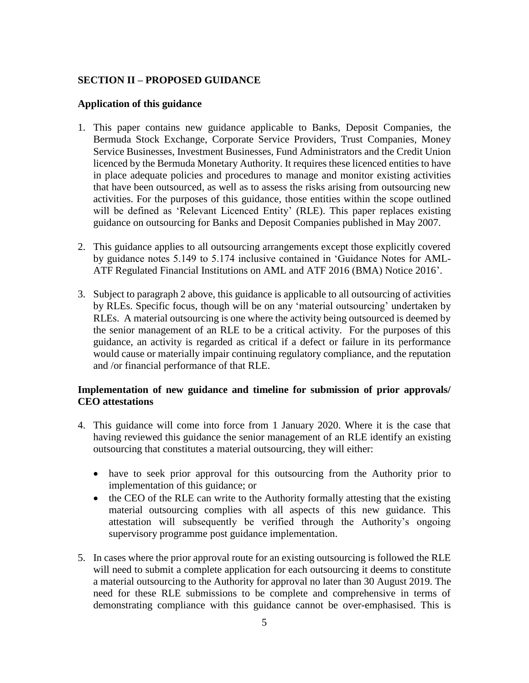#### **SECTION II – PROPOSED GUIDANCE**

#### **Application of this guidance**

- 1. This paper contains new guidance applicable to Banks, Deposit Companies, the Bermuda Stock Exchange, Corporate Service Providers, Trust Companies, Money Service Businesses, Investment Businesses, Fund Administrators and the Credit Union licenced by the Bermuda Monetary Authority. It requires these licenced entities to have in place adequate policies and procedures to manage and monitor existing activities that have been outsourced, as well as to assess the risks arising from outsourcing new activities. For the purposes of this guidance, those entities within the scope outlined will be defined as 'Relevant Licenced Entity' (RLE). This paper replaces existing guidance on outsourcing for Banks and Deposit Companies published in May 2007.
- 2. This guidance applies to all outsourcing arrangements except those explicitly covered by guidance notes 5.149 to 5.174 inclusive contained in 'Guidance Notes for AML-ATF Regulated Financial Institutions on AML and ATF 2016 (BMA) Notice 2016'.
- 3. Subject to paragraph 2 above, this guidance is applicable to all outsourcing of activities by RLEs. Specific focus, though will be on any 'material outsourcing' undertaken by RLEs. A material outsourcing is one where the activity being outsourced is deemed by the senior management of an RLE to be a critical activity. For the purposes of this guidance, an activity is regarded as critical if a defect or failure in its performance would cause or materially impair continuing regulatory compliance, and the reputation and /or financial performance of that RLE.

#### **Implementation of new guidance and timeline for submission of prior approvals/ CEO attestations**

- 4. This guidance will come into force from 1 January 2020. Where it is the case that having reviewed this guidance the senior management of an RLE identify an existing outsourcing that constitutes a material outsourcing, they will either:
	- have to seek prior approval for this outsourcing from the Authority prior to implementation of this guidance; or
	- the CEO of the RLE can write to the Authority formally attesting that the existing material outsourcing complies with all aspects of this new guidance. This attestation will subsequently be verified through the Authority's ongoing supervisory programme post guidance implementation.
- 5. In cases where the prior approval route for an existing outsourcing is followed the RLE will need to submit a complete application for each outsourcing it deems to constitute a material outsourcing to the Authority for approval no later than 30 August 2019. The need for these RLE submissions to be complete and comprehensive in terms of demonstrating compliance with this guidance cannot be over-emphasised. This is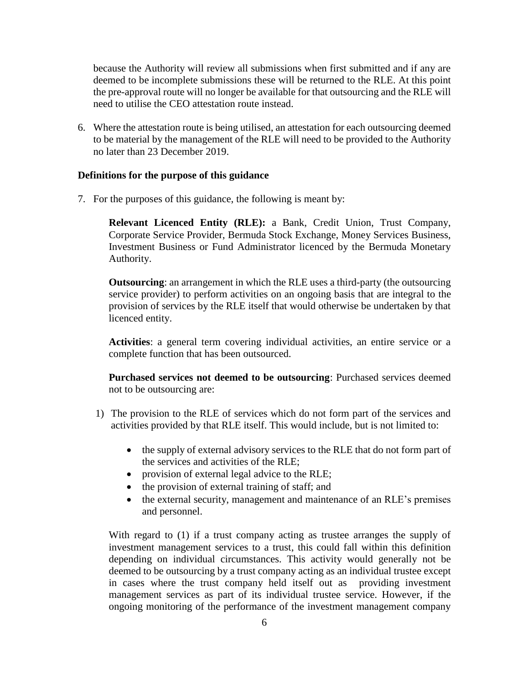because the Authority will review all submissions when first submitted and if any are deemed to be incomplete submissions these will be returned to the RLE. At this point the pre-approval route will no longer be available for that outsourcing and the RLE will need to utilise the CEO attestation route instead.

6. Where the attestation route is being utilised, an attestation for each outsourcing deemed to be material by the management of the RLE will need to be provided to the Authority no later than 23 December 2019.

#### **Definitions for the purpose of this guidance**

7. For the purposes of this guidance, the following is meant by:

**Relevant Licenced Entity (RLE):** a Bank, Credit Union, Trust Company, Corporate Service Provider, Bermuda Stock Exchange, Money Services Business, Investment Business or Fund Administrator licenced by the Bermuda Monetary Authority.

**Outsourcing**: an arrangement in which the RLE uses a third-party (the outsourcing service provider) to perform activities on an ongoing basis that are integral to the provision of services by the RLE itself that would otherwise be undertaken by that licenced entity.

**Activities**: a general term covering individual activities, an entire service or a complete function that has been outsourced.

**Purchased services not deemed to be outsourcing**: Purchased services deemed not to be outsourcing are:

- 1) The provision to the RLE of services which do not form part of the services and activities provided by that RLE itself. This would include, but is not limited to:
	- the supply of external advisory services to the RLE that do not form part of the services and activities of the RLE;
	- provision of external legal advice to the RLE;
	- the provision of external training of staff; and
	- the external security, management and maintenance of an RLE's premises and personnel.

With regard to (1) if a trust company acting as trustee arranges the supply of investment management services to a trust, this could fall within this definition depending on individual circumstances. This activity would generally not be deemed to be outsourcing by a trust company acting as an individual trustee except in cases where the trust company held itself out as providing investment management services as part of its individual trustee service. However, if the ongoing monitoring of the performance of the investment management company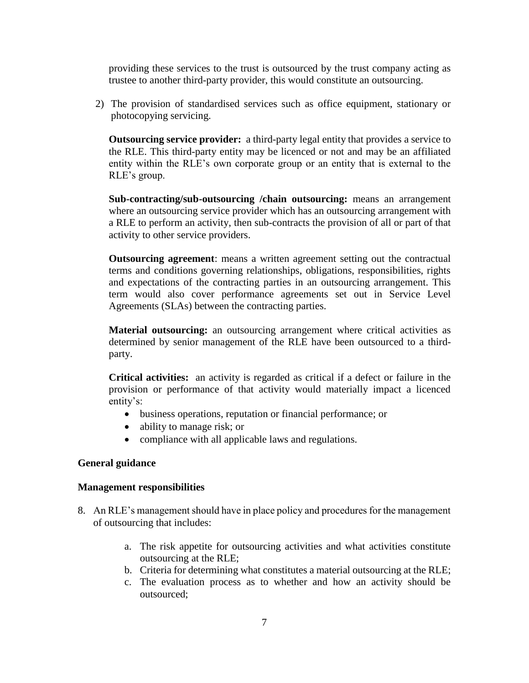providing these services to the trust is outsourced by the trust company acting as trustee to another third-party provider, this would constitute an outsourcing.

2) The provision of standardised services such as office equipment, stationary or photocopying servicing.

**Outsourcing service provider:** a third-party legal entity that provides a service to the RLE. This third-party entity may be licenced or not and may be an affiliated entity within the RLE's own corporate group or an entity that is external to the RLE's group.

**Sub-contracting/sub-outsourcing /chain outsourcing:** means an arrangement where an outsourcing service provider which has an outsourcing arrangement with a RLE to perform an activity, then sub-contracts the provision of all or part of that activity to other service providers.

**Outsourcing agreement**: means a written agreement setting out the contractual terms and conditions governing relationships, obligations, responsibilities, rights and expectations of the contracting parties in an outsourcing arrangement. This term would also cover performance agreements set out in Service Level Agreements (SLAs) between the contracting parties.

**Material outsourcing:** an outsourcing arrangement where critical activities as determined by senior management of the RLE have been outsourced to a thirdparty.

**Critical activities:** an activity is regarded as critical if a defect or failure in the provision or performance of that activity would materially impact a licenced entity's:

- business operations, reputation or financial performance; or
- ability to manage risk; or
- compliance with all applicable laws and regulations.

#### **General guidance**

#### **Management responsibilities**

- 8. An RLE's management should have in place policy and procedures for the management of outsourcing that includes:
	- a. The risk appetite for outsourcing activities and what activities constitute outsourcing at the RLE;
	- b. Criteria for determining what constitutes a material outsourcing at the RLE;
	- c. The evaluation process as to whether and how an activity should be outsourced;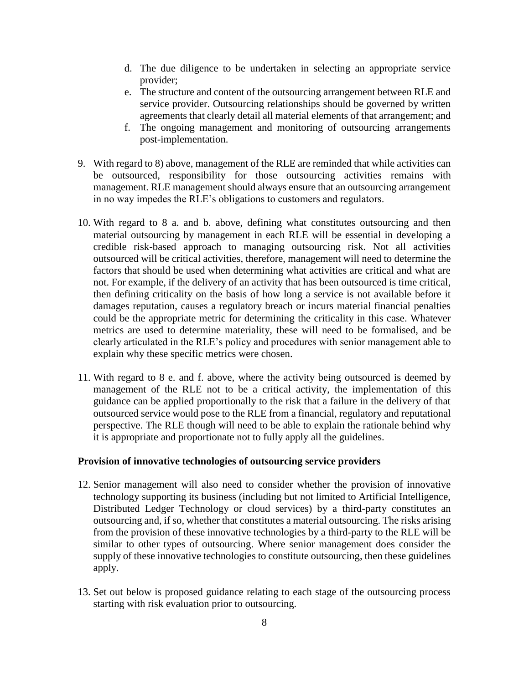- d. The due diligence to be undertaken in selecting an appropriate service provider;
- e. The structure and content of the outsourcing arrangement between RLE and service provider. Outsourcing relationships should be governed by written agreements that clearly detail all material elements of that arrangement; and
- f. The ongoing management and monitoring of outsourcing arrangements post-implementation.
- 9. With regard to 8) above, management of the RLE are reminded that while activities can be outsourced, responsibility for those outsourcing activities remains with management. RLE management should always ensure that an outsourcing arrangement in no way impedes the RLE's obligations to customers and regulators.
- 10. With regard to 8 a. and b. above, defining what constitutes outsourcing and then material outsourcing by management in each RLE will be essential in developing a credible risk-based approach to managing outsourcing risk. Not all activities outsourced will be critical activities, therefore, management will need to determine the factors that should be used when determining what activities are critical and what are not. For example, if the delivery of an activity that has been outsourced is time critical, then defining criticality on the basis of how long a service is not available before it damages reputation, causes a regulatory breach or incurs material financial penalties could be the appropriate metric for determining the criticality in this case. Whatever metrics are used to determine materiality, these will need to be formalised, and be clearly articulated in the RLE's policy and procedures with senior management able to explain why these specific metrics were chosen.
- 11. With regard to 8 e. and f. above, where the activity being outsourced is deemed by management of the RLE not to be a critical activity, the implementation of this guidance can be applied proportionally to the risk that a failure in the delivery of that outsourced service would pose to the RLE from a financial, regulatory and reputational perspective. The RLE though will need to be able to explain the rationale behind why it is appropriate and proportionate not to fully apply all the guidelines.

#### **Provision of innovative technologies of outsourcing service providers**

- 12. Senior management will also need to consider whether the provision of innovative technology supporting its business (including but not limited to Artificial Intelligence, Distributed Ledger Technology or cloud services) by a third-party constitutes an outsourcing and, if so, whether that constitutes a material outsourcing. The risks arising from the provision of these innovative technologies by a third-party to the RLE will be similar to other types of outsourcing. Where senior management does consider the supply of these innovative technologies to constitute outsourcing, then these guidelines apply.
- 13. Set out below is proposed guidance relating to each stage of the outsourcing process starting with risk evaluation prior to outsourcing.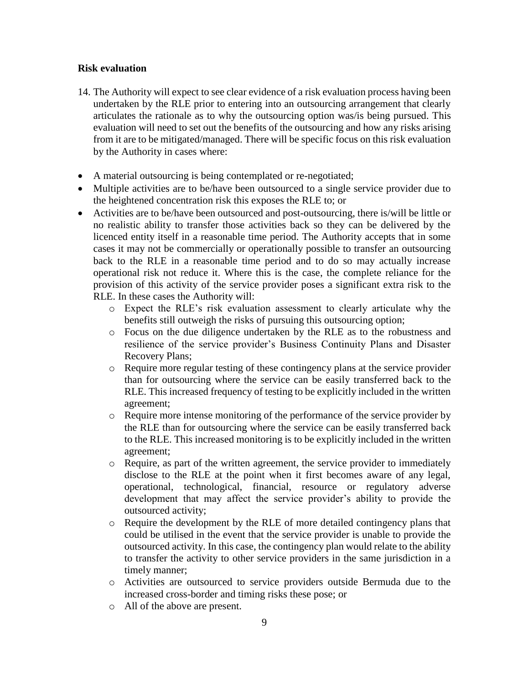#### **Risk evaluation**

- 14. The Authority will expect to see clear evidence of a risk evaluation process having been undertaken by the RLE prior to entering into an outsourcing arrangement that clearly articulates the rationale as to why the outsourcing option was/is being pursued. This evaluation will need to set out the benefits of the outsourcing and how any risks arising from it are to be mitigated/managed. There will be specific focus on this risk evaluation by the Authority in cases where:
- A material outsourcing is being contemplated or re-negotiated;
- Multiple activities are to be/have been outsourced to a single service provider due to the heightened concentration risk this exposes the RLE to; or
- Activities are to be/have been outsourced and post-outsourcing, there is/will be little or no realistic ability to transfer those activities back so they can be delivered by the licenced entity itself in a reasonable time period. The Authority accepts that in some cases it may not be commercially or operationally possible to transfer an outsourcing back to the RLE in a reasonable time period and to do so may actually increase operational risk not reduce it. Where this is the case, the complete reliance for the provision of this activity of the service provider poses a significant extra risk to the RLE. In these cases the Authority will:
	- o Expect the RLE's risk evaluation assessment to clearly articulate why the benefits still outweigh the risks of pursuing this outsourcing option;
	- o Focus on the due diligence undertaken by the RLE as to the robustness and resilience of the service provider's Business Continuity Plans and Disaster Recovery Plans;
	- o Require more regular testing of these contingency plans at the service provider than for outsourcing where the service can be easily transferred back to the RLE. This increased frequency of testing to be explicitly included in the written agreement;
	- o Require more intense monitoring of the performance of the service provider by the RLE than for outsourcing where the service can be easily transferred back to the RLE. This increased monitoring is to be explicitly included in the written agreement;
	- o Require, as part of the written agreement, the service provider to immediately disclose to the RLE at the point when it first becomes aware of any legal, operational, technological, financial, resource or regulatory adverse development that may affect the service provider's ability to provide the outsourced activity;
	- o Require the development by the RLE of more detailed contingency plans that could be utilised in the event that the service provider is unable to provide the outsourced activity. In this case, the contingency plan would relate to the ability to transfer the activity to other service providers in the same jurisdiction in a timely manner;
	- o Activities are outsourced to service providers outside Bermuda due to the increased cross-border and timing risks these pose; or
	- o All of the above are present.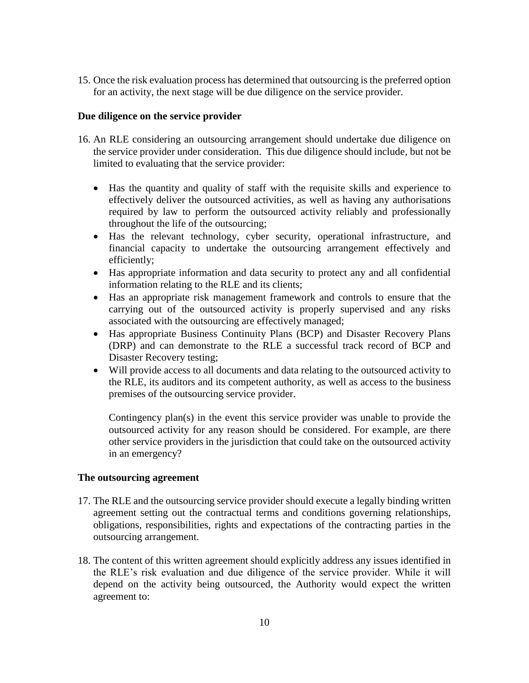15. Once the risk evaluation process has determined that outsourcing is the preferred option for an activity, the next stage will be due diligence on the service provider.

#### **Due diligence on the service provider**

- 16. An RLE considering an outsourcing arrangement should undertake due diligence on the service provider under consideration. This due diligence should include, but not be limited to evaluating that the service provider:
	- Has the quantity and quality of staff with the requisite skills and experience to effectively deliver the outsourced activities, as well as having any authorisations required by law to perform the outsourced activity reliably and professionally throughout the life of the outsourcing;
	- Has the relevant technology, cyber security, operational infrastructure, and financial capacity to undertake the outsourcing arrangement effectively and efficiently;
	- Has appropriate information and data security to protect any and all confidential information relating to the RLE and its clients;
	- Has an appropriate risk management framework and controls to ensure that the carrying out of the outsourced activity is properly supervised and any risks associated with the outsourcing are effectively managed;
	- Has appropriate Business Continuity Plans (BCP) and Disaster Recovery Plans (DRP) and can demonstrate to the RLE a successful track record of BCP and Disaster Recovery testing;
	- Will provide access to all documents and data relating to the outsourced activity to the RLE, its auditors and its competent authority, as well as access to the business premises of the outsourcing service provider.

Contingency plan(s) in the event this service provider was unable to provide the outsourced activity for any reason should be considered. For example, are there other service providers in the jurisdiction that could take on the outsourced activity in an emergency?

#### **The outsourcing agreement**

- 17. The RLE and the outsourcing service provider should execute a legally binding written agreement setting out the contractual terms and conditions governing relationships, obligations, responsibilities, rights and expectations of the contracting parties in the outsourcing arrangement.
- 18. The content of this written agreement should explicitly address any issues identified in the RLE's risk evaluation and due diligence of the service provider. While it will depend on the activity being outsourced, the Authority would expect the written agreement to: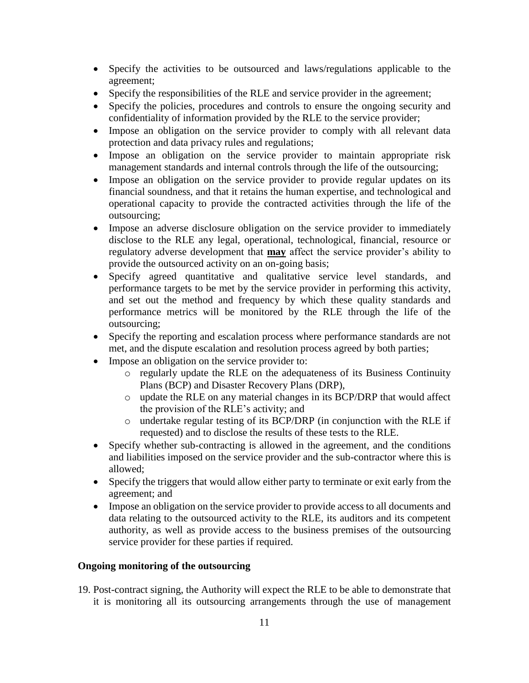- Specify the activities to be outsourced and laws/regulations applicable to the agreement;
- Specify the responsibilities of the RLE and service provider in the agreement;
- Specify the policies, procedures and controls to ensure the ongoing security and confidentiality of information provided by the RLE to the service provider;
- Impose an obligation on the service provider to comply with all relevant data protection and data privacy rules and regulations;
- Impose an obligation on the service provider to maintain appropriate risk management standards and internal controls through the life of the outsourcing;
- Impose an obligation on the service provider to provide regular updates on its financial soundness, and that it retains the human expertise, and technological and operational capacity to provide the contracted activities through the life of the outsourcing;
- Impose an adverse disclosure obligation on the service provider to immediately disclose to the RLE any legal, operational, technological, financial, resource or regulatory adverse development that **may** affect the service provider's ability to provide the outsourced activity on an on-going basis;
- Specify agreed quantitative and qualitative service level standards, and performance targets to be met by the service provider in performing this activity, and set out the method and frequency by which these quality standards and performance metrics will be monitored by the RLE through the life of the outsourcing;
- Specify the reporting and escalation process where performance standards are not met, and the dispute escalation and resolution process agreed by both parties;
- Impose an obligation on the service provider to:
	- o regularly update the RLE on the adequateness of its Business Continuity Plans (BCP) and Disaster Recovery Plans (DRP),
	- o update the RLE on any material changes in its BCP/DRP that would affect the provision of the RLE's activity; and
	- o undertake regular testing of its BCP/DRP (in conjunction with the RLE if requested) and to disclose the results of these tests to the RLE.
- Specify whether sub-contracting is allowed in the agreement, and the conditions and liabilities imposed on the service provider and the sub-contractor where this is allowed;
- Specify the triggers that would allow either party to terminate or exit early from the agreement; and
- Impose an obligation on the service provider to provide access to all documents and data relating to the outsourced activity to the RLE, its auditors and its competent authority, as well as provide access to the business premises of the outsourcing service provider for these parties if required.

#### **Ongoing monitoring of the outsourcing**

19. Post-contract signing, the Authority will expect the RLE to be able to demonstrate that it is monitoring all its outsourcing arrangements through the use of management